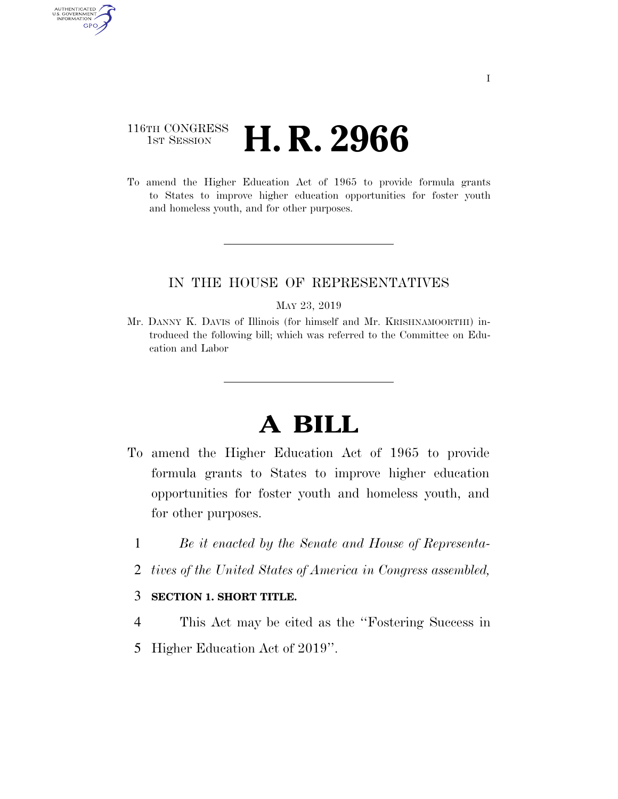## 116TH CONGRESS **1st Session H. R. 2966**

AUTHENTICATED<br>U.S. GOVERNMENT<br>INFORMATION GPO

> To amend the Higher Education Act of 1965 to provide formula grants to States to improve higher education opportunities for foster youth and homeless youth, and for other purposes.

## IN THE HOUSE OF REPRESENTATIVES

MAY 23, 2019

Mr. DANNY K. DAVIS of Illinois (for himself and Mr. KRISHNAMOORTHI) introduced the following bill; which was referred to the Committee on Education and Labor

## **A BILL**

- To amend the Higher Education Act of 1965 to provide formula grants to States to improve higher education opportunities for foster youth and homeless youth, and for other purposes.
	- 1 *Be it enacted by the Senate and House of Representa-*
	- 2 *tives of the United States of America in Congress assembled,*

## 3 **SECTION 1. SHORT TITLE.**

- 4 This Act may be cited as the ''Fostering Success in
- 5 Higher Education Act of 2019''.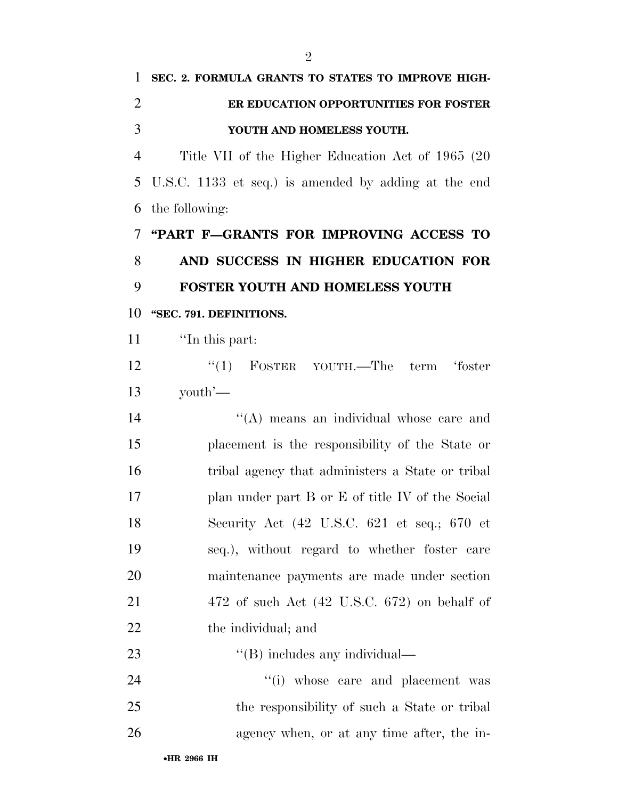| $\mathbf{1}$   | SEC. 2. FORMULA GRANTS TO STATES TO IMPROVE HIGH-                       |
|----------------|-------------------------------------------------------------------------|
| $\overline{2}$ | ER EDUCATION OPPORTUNITIES FOR FOSTER                                   |
| 3              | YOUTH AND HOMELESS YOUTH.                                               |
| $\overline{4}$ | Title VII of the Higher Education Act of 1965 (20)                      |
| 5              | U.S.C. 1133 et seq.) is amended by adding at the end                    |
| 6              | the following:                                                          |
| 7              | "PART F-GRANTS FOR IMPROVING ACCESS TO                                  |
| 8              | AND SUCCESS IN HIGHER EDUCATION FOR                                     |
| 9              | FOSTER YOUTH AND HOMELESS YOUTH                                         |
| 10             | "SEC. 791. DEFINITIONS.                                                 |
| 11             | "In this part:                                                          |
| 12             | "(1) FOSTER YOUTH.—The term 'foster                                     |
| 13             | youth'—                                                                 |
| 14             | "(A) means an individual whose care and                                 |
| 15             | placement is the responsibility of the State or                         |
| 16             | tribal agency that administers a State or tribal                        |
| 17             | plan under part B or E of title IV of the Social                        |
| 18             | Security Act $(42 \text{ U.S.C. } 621 \text{ et seq.}; 670 \text{ et }$ |
| 19             | seq.), without regard to whether foster care                            |
| 20             | maintenance payments are made under section                             |
| 21             | $472$ of such Act $(42 \text{ U.S.C. } 672)$ on behalf of               |
| 22             | the individual; and                                                     |
| 23             | $\lq$ (B) includes any individual—                                      |
| 24             | "(i) whose care and placement was                                       |
| 25             | the responsibility of such a State or tribal                            |
| 26             | agency when, or at any time after, the in-                              |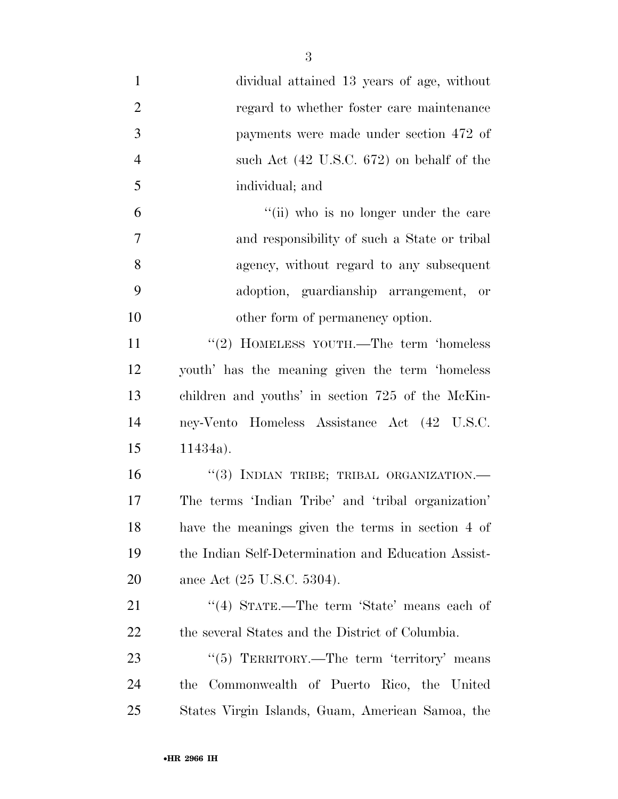| $\mathbf{1}$   | dividual attained 13 years of age, without             |
|----------------|--------------------------------------------------------|
| $\overline{2}$ | regard to whether foster care maintenance              |
| 3              | payments were made under section 472 of                |
| $\overline{4}$ | such Act (42 U.S.C. 672) on behalf of the              |
| 5              | individual; and                                        |
| 6              | "(ii) who is no longer under the care                  |
| $\overline{7}$ | and responsibility of such a State or tribal           |
| 8              | agency, without regard to any subsequent               |
| 9              | adoption, guardianship arrangement, or                 |
| 10             | other form of permanency option.                       |
| 11             | "(2) HOMELESS YOUTH.—The term 'homeless                |
| 12             | youth' has the meaning given the term 'homeless        |
| 13             | children and youths' in section 725 of the McKin-      |
| 14             | ney-Vento Homeless Assistance Act (42 U.S.C.           |
| 15             | $11434a$ .                                             |
| 16             | "(3) INDIAN TRIBE; TRIBAL ORGANIZATION.-               |
| 17             | The terms 'Indian Tribe' and 'tribal organization'     |
| 18             | have the meanings given the terms in section 4 of      |
| 19             | the Indian Self-Determination and Education Assist-    |
| 20             | ance Act (25 U.S.C. 5304).                             |
| 21             | "(4) STATE.—The term 'State' means each of             |
| 22             | the several States and the District of Columbia.       |
| 23             | $\cdot\cdot$ (5) TERRITORY.—The term 'territory' means |
| 24             | Commonwealth of Puerto Rico, the United<br>the         |
| 25             | States Virgin Islands, Guam, American Samoa, the       |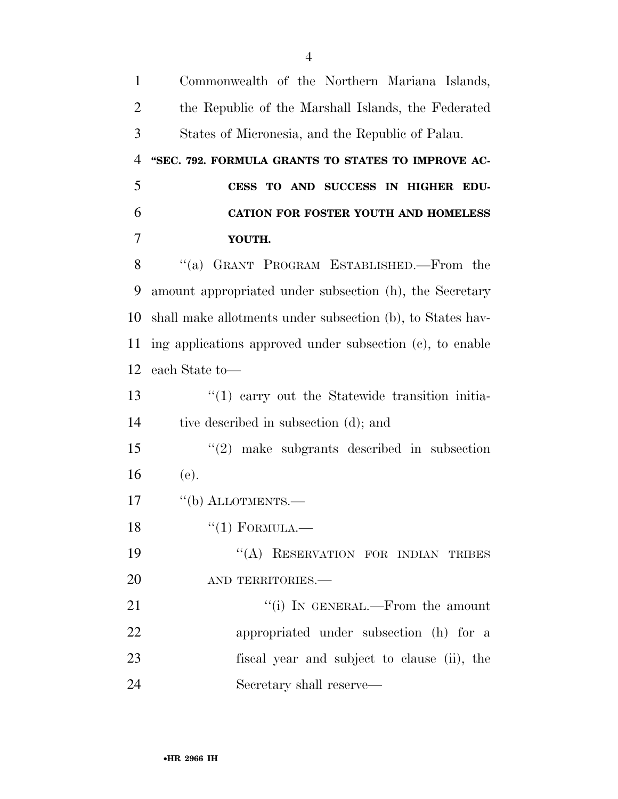| $\mathbf{1}$   | Commonwealth of the Northern Mariana Islands,              |
|----------------|------------------------------------------------------------|
| $\overline{2}$ | the Republic of the Marshall Islands, the Federated        |
| 3              | States of Micronesia, and the Republic of Palau.           |
| $\overline{4}$ | "SEC. 792. FORMULA GRANTS TO STATES TO IMPROVE AC-         |
| 5              | CESS TO AND SUCCESS IN HIGHER EDU-                         |
| 6              | CATION FOR FOSTER YOUTH AND HOMELESS                       |
| 7              | YOUTH.                                                     |
| 8              | "(a) GRANT PROGRAM ESTABLISHED.—From the                   |
| 9              | amount appropriated under subsection (h), the Secretary    |
| 10             | shall make allotments under subsection (b), to States hav- |
| 11             | ing applications approved under subsection (c), to enable  |
| 12             | each State to—                                             |
| 13             | "(1) carry out the Statewide transition initia-            |
| 14             | tive described in subsection (d); and                      |
| 15             | $\lq(2)$ make subgrants described in subsection            |
| 16             | (e).                                                       |
| 17             | $\lq\lq(b)$ ALLOTMENTS.—                                   |
| 18             | $``(1)$ FORMULA.—                                          |
| 19             | "(A) RESERVATION FOR INDIAN TRIBES                         |
| 20             | AND TERRITORIES.-                                          |
| 21             | "(i) IN GENERAL.—From the amount                           |
| 22             | appropriated under subsection (h) for a                    |
| 23             | fiscal year and subject to clause (ii), the                |
| 24             | Secretary shall reserve—                                   |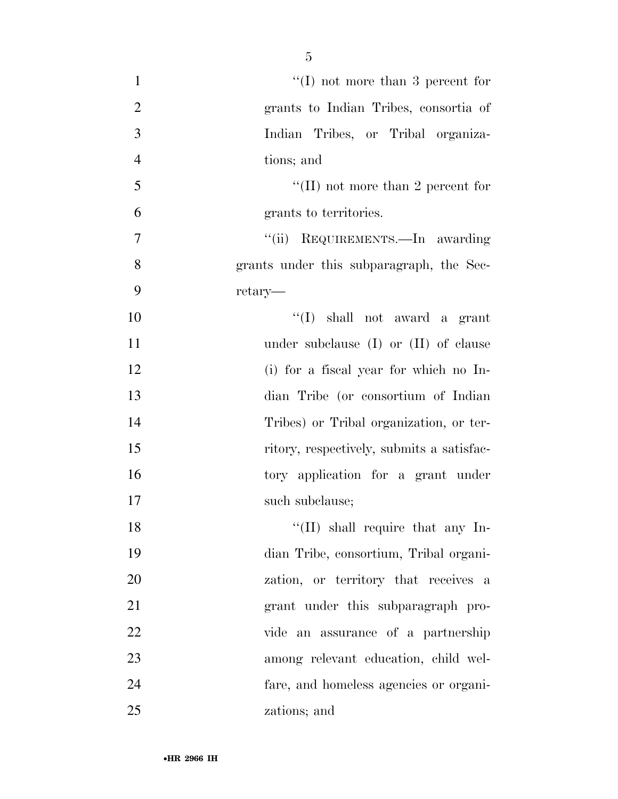| $\mathbf{1}$   | "(I) not more than 3 percent for          |
|----------------|-------------------------------------------|
| $\mathbf{2}$   | grants to Indian Tribes, consortia of     |
| 3              |                                           |
|                | Indian Tribes, or Tribal organiza-        |
| $\overline{4}$ | tions; and                                |
| 5              | "(II) not more than 2 percent for         |
| 6              | grants to territories.                    |
| $\overline{7}$ | "(ii) REQUIREMENTS.—In awarding           |
| 8              | grants under this subparagraph, the Sec-  |
| 9              | retary—                                   |
| 10             | "(I) shall not award a grant              |
| 11             | under subclause $(I)$ or $(II)$ of clause |
| 12             | (i) for a fiscal year for which no In-    |
| 13             | dian Tribe (or consortium of Indian       |
| 14             | Tribes) or Tribal organization, or ter-   |
| 15             | ritory, respectively, submits a satisfac- |
| 16             | tory application for a grant under        |
| 17             | such subclause;                           |
| 18             | $\lq\lq$ (II) shall require that any In-  |
| 19             | dian Tribe, consortium, Tribal organi-    |
| 20             | zation, or territory that receives a      |
| 21             | grant under this subparagraph pro-        |
| 22             | vide an assurance of a partnership        |
| 23             | among relevant education, child wel-      |
| 24             | fare, and homeless agencies or organi-    |
| 25             | zations; and                              |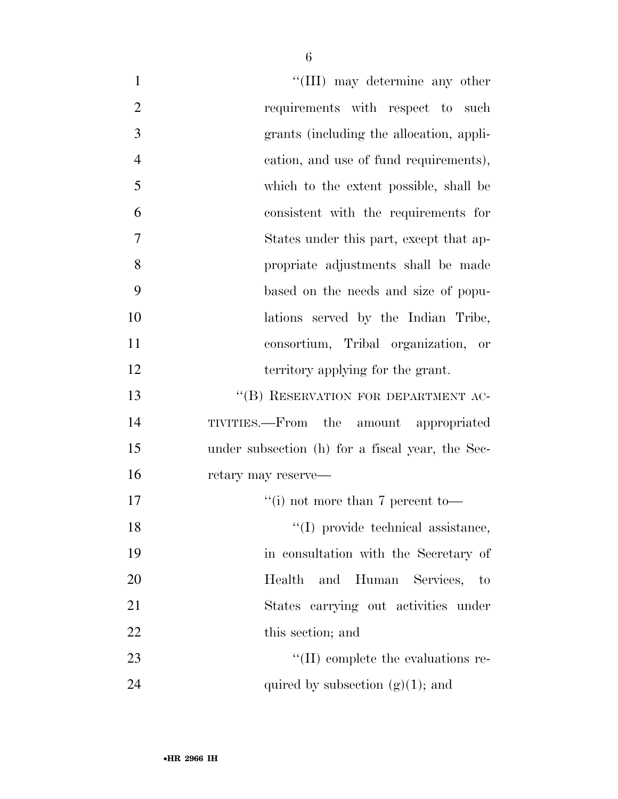| $\mathbf{1}$   | "(III) may determine any other                   |
|----------------|--------------------------------------------------|
| $\overline{2}$ | requirements with respect to such                |
| 3              | grants (including the allocation, appli-         |
| $\overline{4}$ | cation, and use of fund requirements),           |
| 5              | which to the extent possible, shall be           |
| 6              | consistent with the requirements for             |
| 7              | States under this part, except that ap-          |
| 8              | propriate adjustments shall be made              |
| 9              | based on the needs and size of popu-             |
| 10             | lations served by the Indian Tribe,              |
| 11             | consortium, Tribal organization, or              |
| 12             | territory applying for the grant.                |
| 13             | "(B) RESERVATION FOR DEPARTMENT AC-              |
| 14             | TIVITIES.—From the amount appropriated           |
| 15             | under subsection (h) for a fiscal year, the Sec- |
| 16             | retary may reserve—                              |
| 17             | "(i) not more than $7$ percent to-               |
| 18             | "(I) provide technical assistance,               |
| 19             | in consultation with the Secretary of            |
| 20             | and Human Services, to<br>Health                 |
| 21             | States carrying out activities under             |
| 22             | this section; and                                |
| 23             | $\lq\lq$ (II) complete the evaluations re-       |
| 24             | quired by subsection $(g)(1)$ ; and              |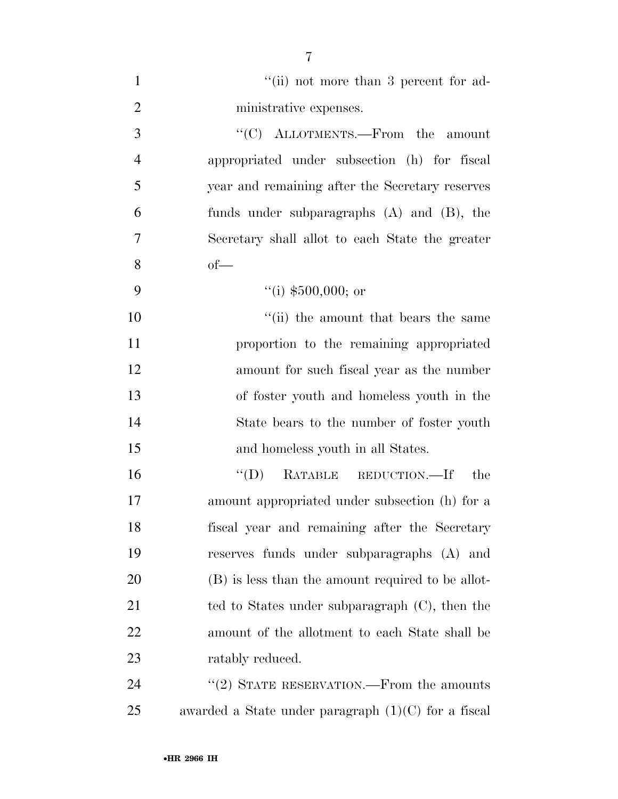| $\mathbf{1}$   | "(ii) not more than 3 percent for ad-                 |
|----------------|-------------------------------------------------------|
| $\overline{2}$ | ministrative expenses.                                |
| 3              | " $(C)$ ALLOTMENTS.—From the amount                   |
| $\overline{4}$ | appropriated under subsection (h) for fiscal          |
| 5              | year and remaining after the Secretary reserves       |
| 6              | funds under subparagraphs $(A)$ and $(B)$ , the       |
| 7              | Secretary shall allot to each State the greater       |
| 8              | $of$ —                                                |
| 9              | "(i) $$500,000$ ; or                                  |
| 10             | "(ii) the amount that bears the same                  |
| 11             | proportion to the remaining appropriated              |
| 12             | amount for such fiscal year as the number             |
| 13             | of foster youth and homeless youth in the             |
| 14             | State bears to the number of foster youth             |
| 15             | and homeless youth in all States.                     |
| 16             | $\lq\lq$ (D) RATABLE REDUCTION.—If<br>the             |
| 17             | amount appropriated under subsection (h) for a        |
| 18             | fiscal year and remaining after the Secretary         |
| 19             | reserves funds under subparagraphs (A) and            |
| 20             | (B) is less than the amount required to be allot-     |
| 21             | ted to States under subparagraph $(C)$ , then the     |
| 22             | amount of the allotment to each State shall be        |
| 23             | ratably reduced.                                      |
| 24             | $\cdot\cdot(2)$ STATE RESERVATION.—From the amounts   |
| 25             | awarded a State under paragraph $(1)(C)$ for a fiscal |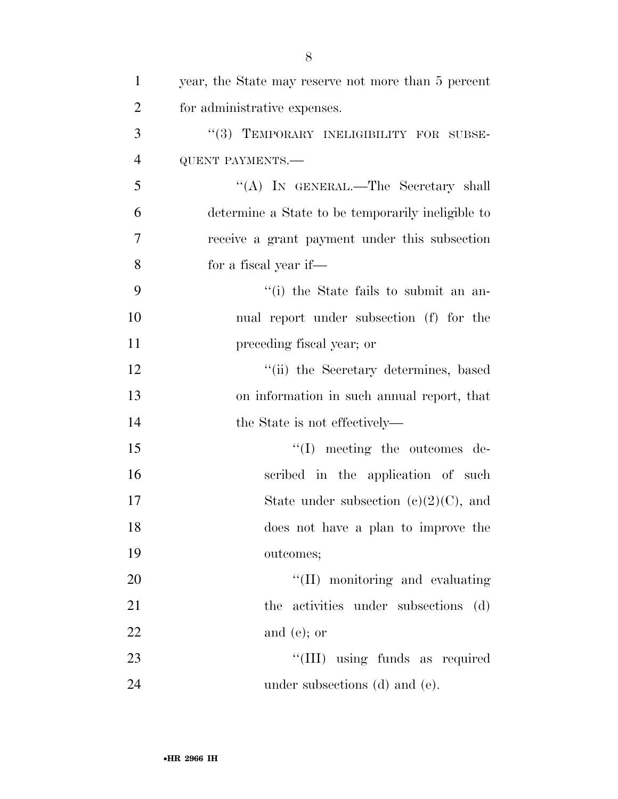| $\mathbf{1}$   | year, the State may reserve not more than 5 percent |
|----------------|-----------------------------------------------------|
| $\overline{2}$ | for administrative expenses.                        |
| 3              | "(3) TEMPORARY INELIGIBILITY FOR SUBSE-             |
| $\overline{4}$ | <b>QUENT PAYMENTS.-</b>                             |
| 5              | "(A) IN GENERAL.—The Secretary shall                |
| 6              | determine a State to be temporarily ineligible to   |
| 7              | receive a grant payment under this subsection       |
| 8              | for a fiscal year if—                               |
| 9              | "(i) the State fails to submit an an-               |
| 10             | nual report under subsection (f) for the            |
| 11             | preceding fiscal year; or                           |
| 12             | "(ii) the Secretary determines, based               |
| 13             | on information in such annual report, that          |
| 14             | the State is not effectively—                       |
| 15             | $\lq\lq$ . meeting the outcomes de-                 |
| 16             | scribed in the application of such                  |
| 17             | State under subsection $(c)(2)(C)$ , and            |
| 18             | does not have a plan to improve the                 |
| 19             | outcomes;                                           |
| 20             | "(II) monitoring and evaluating                     |
| 21             | the activities under subsections (d)                |
| 22             | and $(e)$ ; or                                      |
| 23             | "(III) using funds as required                      |
| 24             | under subsections (d) and (e).                      |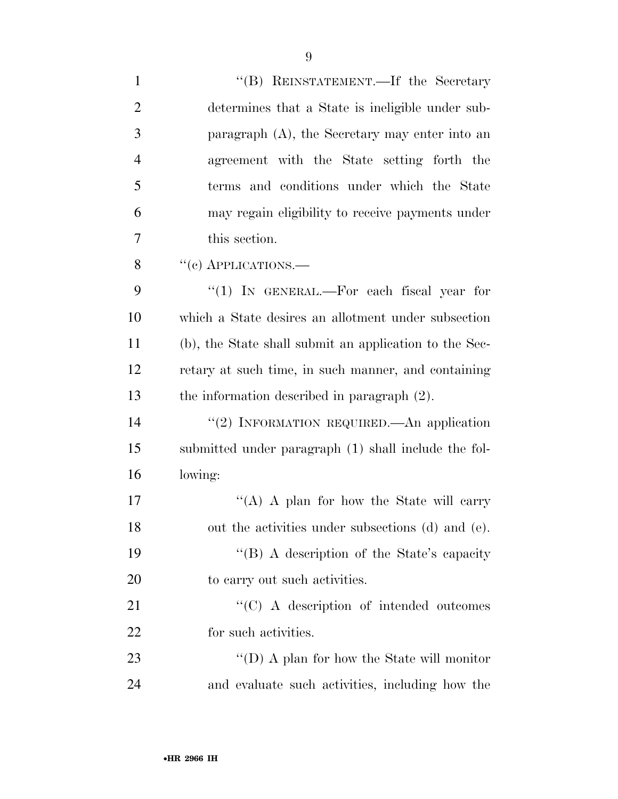| $\mathbf{1}$   | "(B) REINSTATEMENT.—If the Secretary                   |
|----------------|--------------------------------------------------------|
| $\overline{2}$ | determines that a State is ineligible under sub-       |
| 3              | paragraph (A), the Secretary may enter into an         |
| $\overline{4}$ | agreement with the State setting forth the             |
| 5              | terms and conditions under which the State             |
| 6              | may regain eligibility to receive payments under       |
| $\overline{7}$ | this section.                                          |
| 8              | "(c) APPLICATIONS.—                                    |
| 9              | " $(1)$ IN GENERAL.—For each fiscal year for           |
| 10             | which a State desires an allotment under subsection    |
| 11             | (b), the State shall submit an application to the Sec- |
| 12             | retary at such time, in such manner, and containing    |
| 13             | the information described in paragraph $(2)$ .         |
| 14             | "(2) INFORMATION REQUIRED.—An application              |
| 15             | submitted under paragraph (1) shall include the fol-   |
| 16             | lowing:                                                |
| 17             | "(A) A plan for how the State will carry               |
| 18             | out the activities under subsections (d) and (e).      |
| 19             | "(B) A description of the State's capacity             |
| 20             | to carry out such activities.                          |
| 21             | "(C) A description of intended outcomes                |
| 22             | for such activities.                                   |
| 23             | "(D) A plan for how the State will monitor             |
| 24             | and evaluate such activities, including how the        |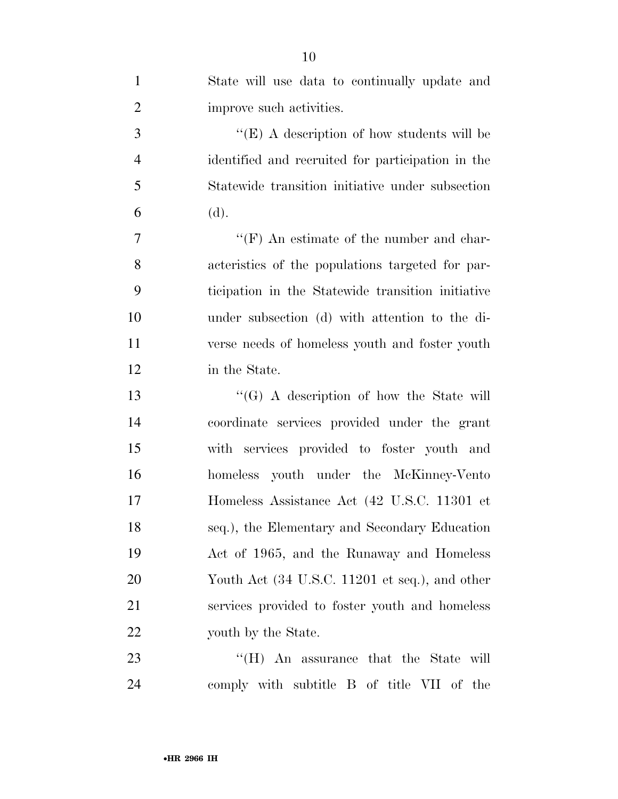| $\mathbf{1}$   | State will use data to continually update and     |
|----------------|---------------------------------------------------|
| $\overline{2}$ | improve such activities.                          |
| 3              | "(E) A description of how students will be        |
| $\overline{4}$ | identified and recruited for participation in the |
| 5              | Statewide transition initiative under subsection  |
| 6              | (d).                                              |
| 7              | " $(F)$ An estimate of the number and char-       |
| 8              | acteristics of the populations targeted for par-  |
| 9              | ticipation in the Statewide transition initiative |
| 10             | under subsection (d) with attention to the di-    |
| 11             | verse needs of homeless youth and foster youth    |
| 12             | in the State.                                     |
| 13             | " $(G)$ A description of how the State will       |
| 14             | coordinate services provided under the grant      |
| 15             | with services provided to foster youth and        |
| 16             | homeless youth under the McKinney-Vento           |
| 17             | Homeless Assistance Act (42 U.S.C. 11301 et       |
| 18             | seq.), the Elementary and Secondary Education     |
| 19             | Act of 1965, and the Runaway and Homeless         |
| 20             | Youth Act (34 U.S.C. 11201 et seq.), and other    |
| 21             | services provided to foster youth and homeless    |
| 22             | youth by the State.                               |
| 23             | "(H) An assurance that the State will             |
| 24             | comply with subtitle B of title VII of the        |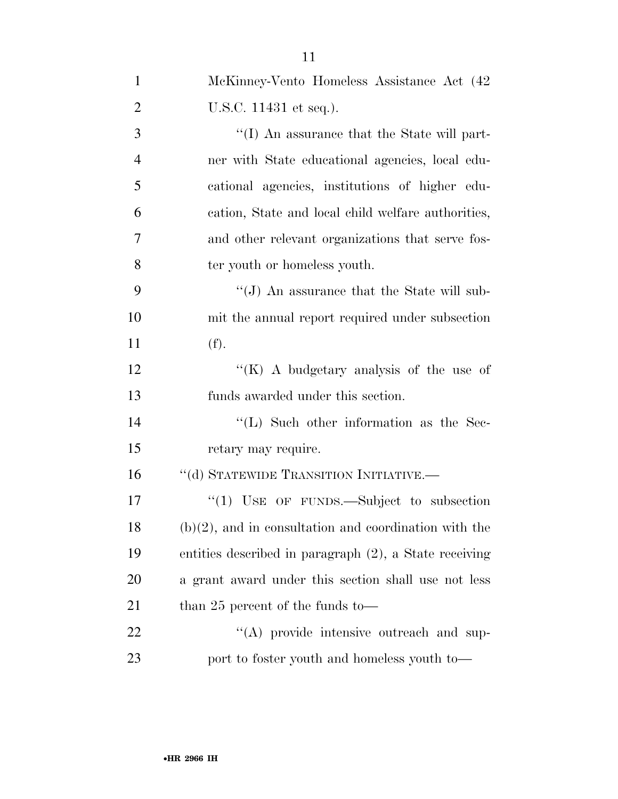| $\mathbf{1}$   | McKinney-Vento Homeless Assistance Act (42               |
|----------------|----------------------------------------------------------|
| $\overline{2}$ | U.S.C. 11431 et seq.).                                   |
| 3              | $\lq\lq$ (I) An assurance that the State will part-      |
| $\overline{4}$ | ner with State educational agencies, local edu-          |
| 5              | cational agencies, institutions of higher edu-           |
| 6              | cation, State and local child welfare authorities,       |
| 7              | and other relevant organizations that serve fos-         |
| 8              | ter youth or homeless youth.                             |
| 9              | " $(J)$ An assurance that the State will sub-            |
| 10             | mit the annual report required under subsection          |
| 11             | (f).                                                     |
| 12             | "(K) A budgetary analysis of the use of                  |
| 13             | funds awarded under this section.                        |
| 14             | $\lq\lq$ . Such other information as the Sec-            |
| 15             | retary may require.                                      |
| 16             | "(d) STATEWIDE TRANSITION INITIATIVE.—                   |
| 17             | $"(1)$ USE OF FUNDS.—Subject to subsection               |
| 18             | $(b)(2)$ , and in consultation and coordination with the |
| 19             | entities described in paragraph (2), a State receiving   |
| 20             | a grant award under this section shall use not less      |
| 21             | than 25 percent of the funds to $-$                      |
| 22             | $\lq\lq$ provide intensive outreach and sup-             |
| 23             | port to foster youth and homeless youth to—              |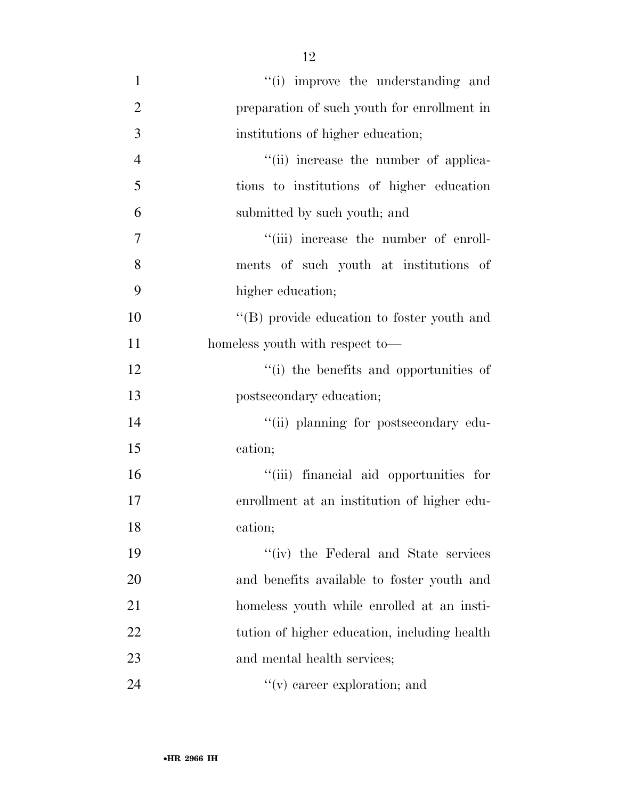$\frac{1}{1}$  improve the understanding and preparation of such youth for enrollment in institutions of higher education;  $''(ii)$  increase the number of applica- tions to institutions of higher education submitted by such youth; and  $''(iii)$  increase the number of enroll- ments of such youth at institutions of higher education; ''(B) provide education to foster youth and 11 homeless youth with respect to—  $\cdot$  (i) the benefits and opportunities of postsecondary education;  $\frac{1}{2}$   $\frac{1}{2}$   $\frac{1}{2}$  planning for postsecondary edu- cation; ''(iii) financial aid opportunities for enrollment at an institution of higher edu- cation; ''(iv) the Federal and State services and benefits available to foster youth and homeless youth while enrolled at an insti-22 tution of higher education, including health 23 and mental health services;  $''(v)$  career exploration; and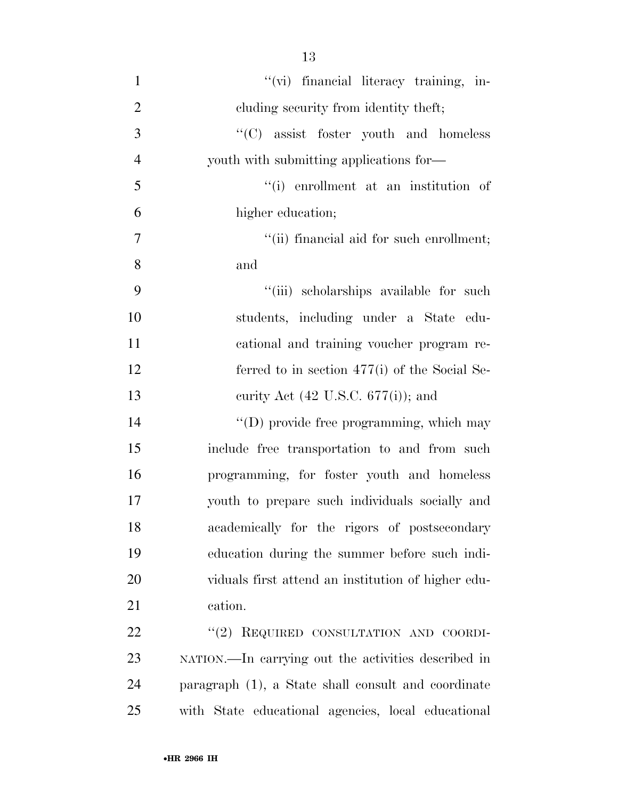| $\mathbf{1}$   | "(vi) financial literacy training, in-              |
|----------------|-----------------------------------------------------|
|                |                                                     |
| $\overline{2}$ | eluding security from identity theft;               |
| 3              | "(C) assist foster youth and homeless               |
| $\overline{4}$ | youth with submitting applications for—             |
| 5              | "(i) enrollment at an institution of                |
| 6              | higher education;                                   |
| 7              | "(ii) financial aid for such enrollment;            |
| 8              | and                                                 |
| 9              | "(iii) scholarships available for such              |
| 10             | students, including under a State edu-              |
| 11             | cational and training voucher program re-           |
| 12             | ferred to in section $477(i)$ of the Social Se-     |
| 13             | curity Act $(42 \text{ U.S.C. } 677(i))$ ; and      |
| 14             | "(D) provide free programming, which may            |
| 15             | include free transportation to and from such        |
| 16             | programming, for foster youth and homeless          |
| 17             | youth to prepare such individuals socially and      |
| 18             | academically for the rigors of postsecondary        |
| 19             | education during the summer before such indi-       |
| 20             | viduals first attend an institution of higher edu-  |
| 21             | cation.                                             |
| 22             | "(2) REQUIRED CONSULTATION AND COORDI-              |
| 23             | NATION.—In carrying out the activities described in |
|                |                                                     |

 paragraph (1), a State shall consult and coordinate with State educational agencies, local educational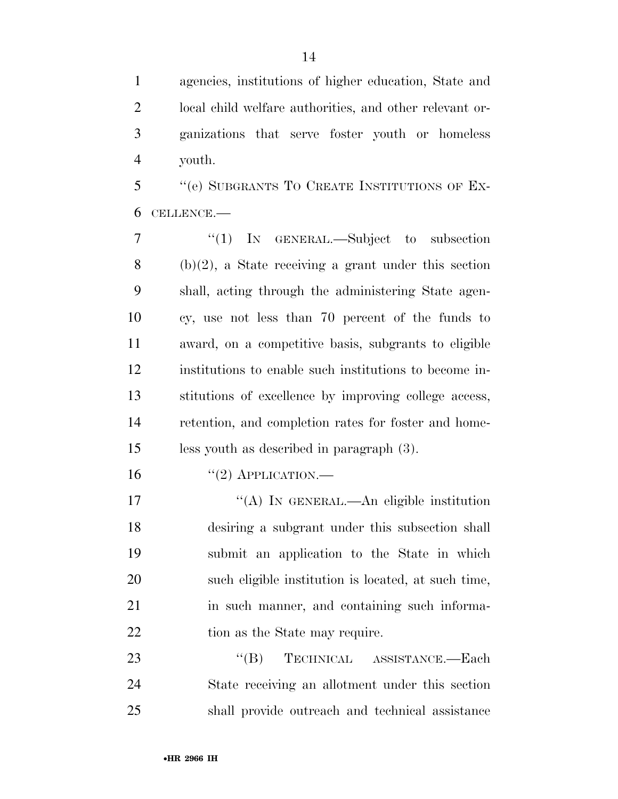agencies, institutions of higher education, State and local child welfare authorities, and other relevant or- ganizations that serve foster youth or homeless youth.

 ''(e) SUBGRANTS TO CREATE INSTITUTIONS OF EX-CELLENCE.—

 ''(1) IN GENERAL.—Subject to subsection (b)(2), a State receiving a grant under this section shall, acting through the administering State agen- cy, use not less than 70 percent of the funds to award, on a competitive basis, subgrants to eligible institutions to enable such institutions to become in- stitutions of excellence by improving college access, retention, and completion rates for foster and home-less youth as described in paragraph (3).

16  $((2)$  APPLICATION.

17 "(A) IN GENERAL.—An eligible institution desiring a subgrant under this subsection shall submit an application to the State in which such eligible institution is located, at such time, 21 in such manner, and containing such informa-22 tion as the State may require.

23 "(B) TECHNICAL ASSISTANCE.—Each State receiving an allotment under this section shall provide outreach and technical assistance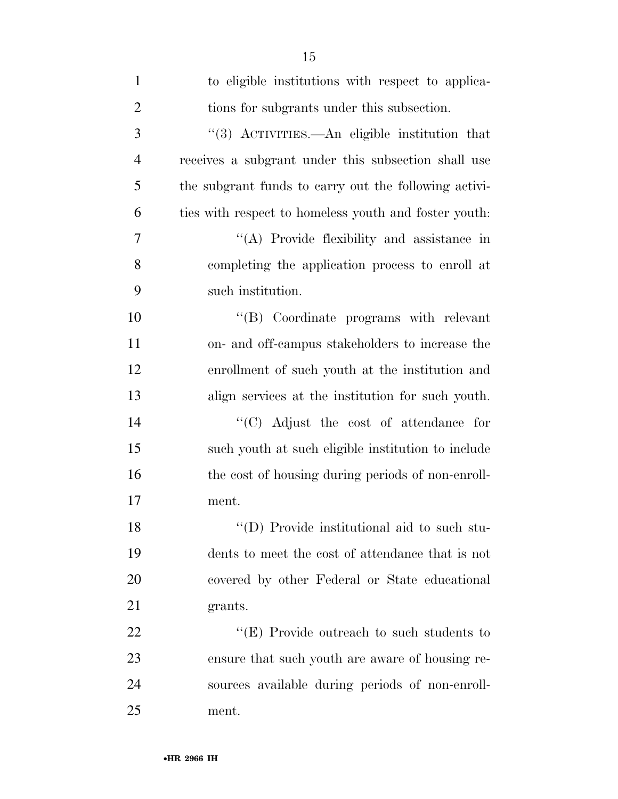| $\mathbf{1}$   | to eligible institutions with respect to applica-     |
|----------------|-------------------------------------------------------|
| $\overline{2}$ | tions for subgrants under this subsection.            |
| 3              | "(3) ACTIVITIES.—An eligible institution that         |
| $\overline{4}$ | receives a subgrant under this subsection shall use   |
| 5              | the subgrant funds to carry out the following activi- |
| 6              | ties with respect to homeless youth and foster youth: |
| 7              | "(A) Provide flexibility and assistance in            |
| 8              | completing the application process to enroll at       |
| 9              | such institution.                                     |
| 10             | "(B) Coordinate programs with relevant                |
| 11             | on- and off-campus stakeholders to increase the       |
| 12             | enrollment of such youth at the institution and       |
| 13             | align services at the institution for such youth.     |
| 14             | "(C) Adjust the cost of attendance for                |
| 15             | such youth at such eligible institution to include    |
| 16             | the cost of housing during periods of non-enroll-     |
| 17             | ment.                                                 |
| 18             | "(D) Provide institutional aid to such stu-           |
| 19             | dents to meet the cost of attendance that is not      |
| 20             | covered by other Federal or State educational         |
| 21             | grants.                                               |
| 22             | " $(E)$ Provide outreach to such students to          |
| 23             | ensure that such youth are aware of housing re-       |
| 24             | sources available during periods of non-enroll-       |
| 25             | ment.                                                 |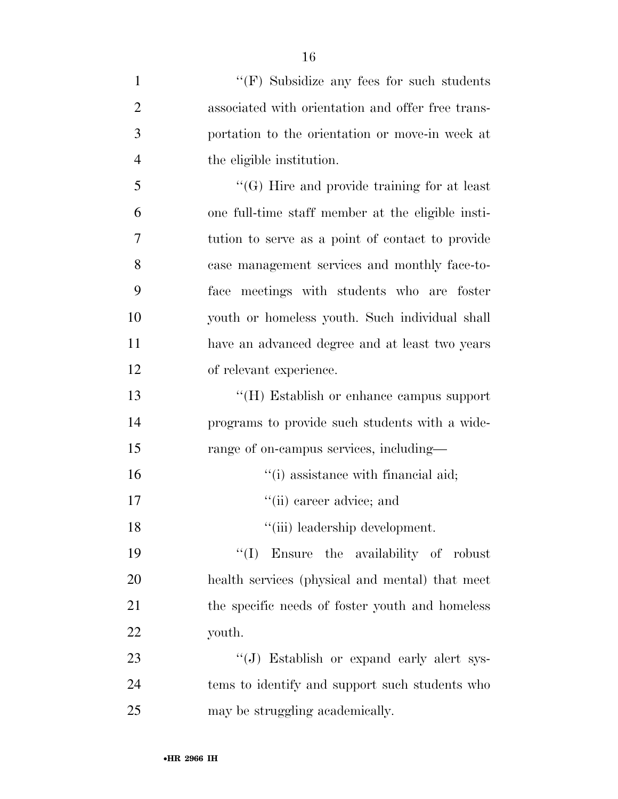| $\mathbf{1}$   | " $(F)$ Subsidize any fees for such students"      |
|----------------|----------------------------------------------------|
| $\overline{2}$ | associated with orientation and offer free trans-  |
| 3              | portation to the orientation or move-in week at    |
| $\overline{4}$ | the eligible institution.                          |
| 5              | $\lq\lq(G)$ Hire and provide training for at least |
| 6              | one full-time staff member at the eligible insti-  |
| 7              | tution to serve as a point of contact to provide   |
| 8              | case management services and monthly face-to-      |
| 9              | meetings with students who are foster<br>face      |
| 10             | youth or homeless youth. Such individual shall     |
| 11             | have an advanced degree and at least two years     |
| 12             | of relevant experience.                            |
| 13             | "(H) Establish or enhance campus support           |
| 14             | programs to provide such students with a wide-     |
| 15             | range of on-campus services, including—            |
| 16             | "(i) assistance with financial aid;                |
| 17             | "(ii) career advice; and                           |
| 18             | "(iii) leadership development.                     |
| 19             | "(I) Ensure the availability of robust             |
| 20             | health services (physical and mental) that meet    |
| 21             | the specific needs of foster youth and homeless    |
| 22             | youth.                                             |
| 23             | "(J) Establish or expand early alert sys-          |
| 24             | tems to identify and support such students who     |
| 25             | may be struggling academically.                    |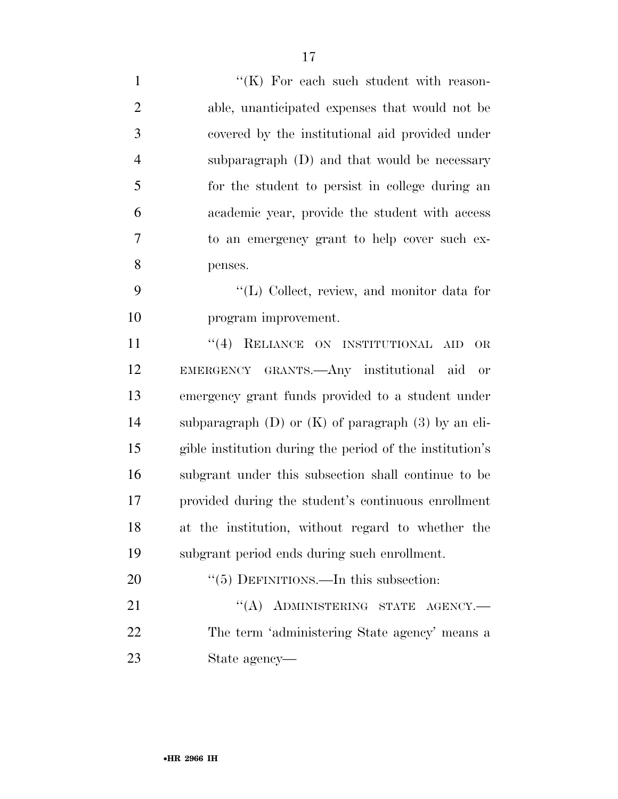| $\mathbf{1}$   | "(K) For each such student with reason-                   |
|----------------|-----------------------------------------------------------|
| $\overline{2}$ | able, unanticipated expenses that would not be            |
| 3              | covered by the institutional aid provided under           |
| $\overline{4}$ | subparagraph (D) and that would be necessary              |
| 5              | for the student to persist in college during an           |
| 6              | academic year, provide the student with access            |
| 7              | to an emergency grant to help cover such ex-              |
| 8              | penses.                                                   |
| 9              | "(L) Collect, review, and monitor data for                |
| 10             | program improvement.                                      |
| 11             | RELIANCE ON INSTITUTIONAL<br>(4)<br>OR<br>AID             |
| 12             | EMERGENCY GRANTS.- Any institutional aid<br>or            |
| 13             | emergency grant funds provided to a student under         |
| 14             | subparagraph $(D)$ or $(K)$ of paragraph $(3)$ by an eli- |
| 15             | gible institution during the period of the institution's  |
| 16             | subgrant under this subsection shall continue to be       |
| 17             | provided during the student's continuous enrollment       |
| 18             | at the institution, without regard to whether the         |
| 19             | subgrant period ends during such enrollment.              |
| 20             | $\lq(5)$ DEFINITIONS.—In this subsection:                 |
| 21             | "(A) ADMINISTERING STATE AGENCY.-                         |
| 22             | The term 'administering State agency' means a             |
| 23             | State agency—                                             |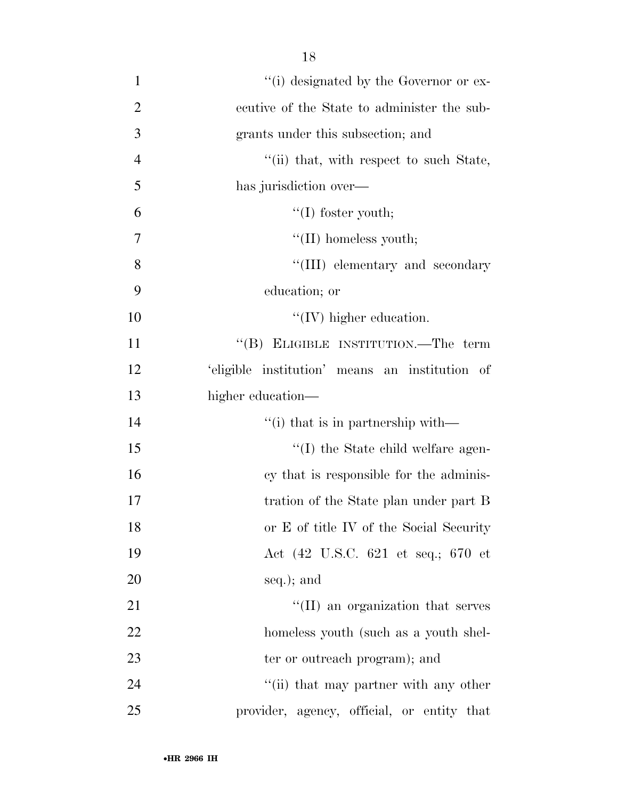| $\mathbf{1}$   | "(i) designated by the Governor or ex-              |
|----------------|-----------------------------------------------------|
| $\overline{2}$ | ecutive of the State to administer the sub-         |
| 3              | grants under this subsection; and                   |
| $\overline{4}$ | "(ii) that, with respect to such State,             |
| 5              | has jurisdiction over—                              |
| 6              | $\lq\lq$ (I) foster youth;                          |
| 7              | $\lq\lq$ (II) homeless youth;                       |
| 8              | "(III) elementary and secondary                     |
| 9              | education; or                                       |
| 10             | $\lq\lq$ (IV) higher education.                     |
| 11             | "(B) ELIGIBLE INSTITUTION.—The term                 |
| 12             | 'eligible institution' means an institution of      |
| 13             | higher education—                                   |
| 14             | $\lq$ <sup>"</sup> (i) that is in partnership with— |
| 15             | "(I) the State child welfare agen-                  |
| 16             | cy that is responsible for the adminis-             |
| 17             | tration of the State plan under part B              |
| 18             | or E of title IV of the Social Security             |
| 19             | Act (42 U.S.C. 621 et seq.; 670 et                  |
| 20             | seq.); and                                          |
| 21             | $\lq\lq$ (II) an organization that serves           |
| 22             | homeless youth (such as a youth shel-               |
| 23             | ter or outreach program); and                       |
| 24             | "(ii) that may partner with any other               |
| 25             | provider, agency, official, or entity that          |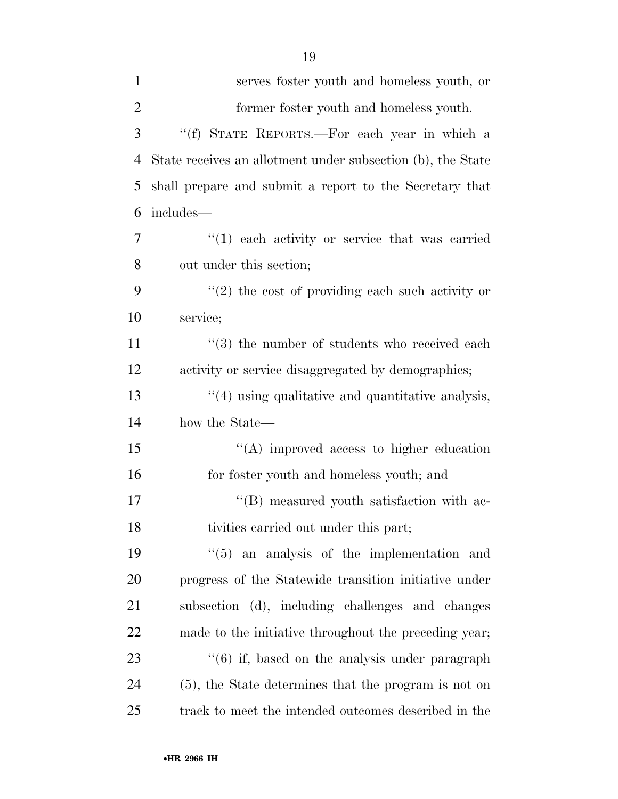| $\mathbf{1}$   | serves foster youth and homeless youth, or                     |
|----------------|----------------------------------------------------------------|
| $\overline{2}$ | former foster youth and homeless youth.                        |
| 3              | "(f) STATE REPORTS.-For each year in which a                   |
| $\overline{4}$ | State receives an allotment under subsection (b), the State    |
| 5              | shall prepare and submit a report to the Secretary that        |
| 6              | includes—                                                      |
| 7              | $(1)$ each activity or service that was carried                |
| 8              | out under this section;                                        |
| 9              | $f'(2)$ the cost of providing each such activity or            |
| 10             | service;                                                       |
| 11             | $(3)$ the number of students who received each                 |
| 12             | activity or service disaggregated by demographics;             |
| 13             | "(4) using qualitative and quantitative analysis,              |
| 14             | how the State—                                                 |
| 15             | $\lq\lq$ improved access to higher education                   |
| 16             | for foster youth and homeless youth; and                       |
| 17             | "(B) measured youth satisfaction with ac-                      |
| 18             | tivities carried out under this part;                          |
| 19             | an analysis of the implementation and<br>``(5)                 |
| 20             | progress of the Statewide transition initiative under          |
| 21             | subsection (d), including challenges and changes               |
| 22             | made to the initiative throughout the preceding year;          |
| 23             | $\cdot\cdot\cdot(6)$ if, based on the analysis under paragraph |
| 24             | (5), the State determines that the program is not on           |
| 25             | track to meet the intended outcomes described in the           |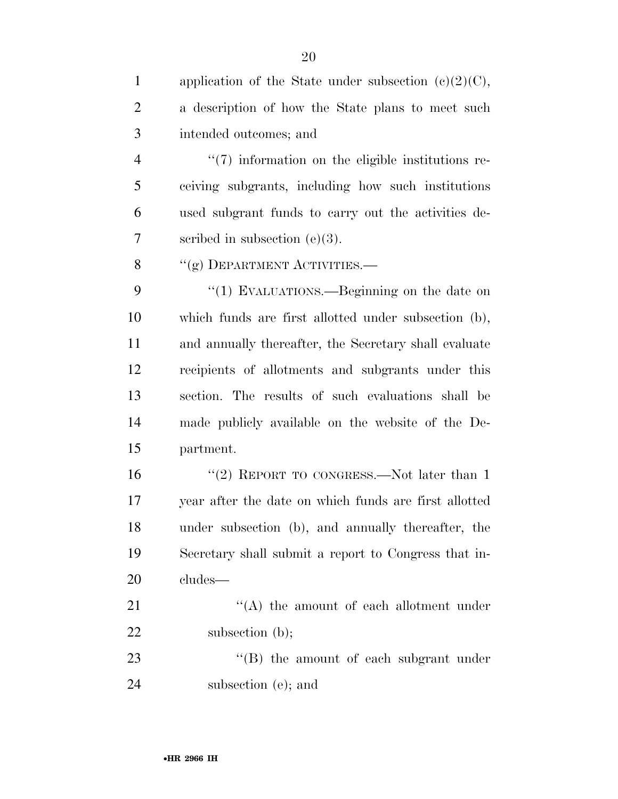| $\mathbf{1}$   | application of the State under subsection $(c)(2)(C)$ , |
|----------------|---------------------------------------------------------|
| $\overline{2}$ | a description of how the State plans to meet such       |
| 3              | intended outcomes; and                                  |
| $\overline{4}$ | $\lq(7)$ information on the eligible institutions re-   |
| 5              | ceiving subgrants, including how such institutions      |
| 6              | used subgrant funds to carry out the activities de-     |
| 7              | scribed in subsection $(e)(3)$ .                        |
| 8              | "(g) DEPARTMENT ACTIVITIES.—                            |
| 9              | "(1) EVALUATIONS.—Beginning on the date on              |
| 10             | which funds are first allotted under subsection (b),    |
| 11             | and annually thereafter, the Secretary shall evaluate   |
| 12             | recipients of allotments and subgrants under this       |
| 13             | section. The results of such evaluations shall be       |
| 14             | made publicly available on the website of the De-       |
| 15             | partment.                                               |
| 16             | "(2) REPORT TO CONGRESS.—Not later than $1$             |
| 17             | year after the date on which funds are first allotted   |
| 18             | under subsection (b), and annually thereafter, the      |
| 19             | Secretary shall submit a report to Congress that in-    |
| 20             | cludes—                                                 |
| 21             | $\lq\lq$ the amount of each allotment under             |
| 22             | subsection $(b)$ ;                                      |
| 23             | "(B) the amount of each subgrant under                  |
| 24             | subsection (e); and                                     |